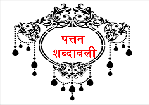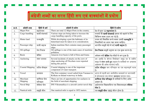## <u>||अंग्रेजी शब्दों का सरल हिंदी रूप एवं वाक्यांशों में प्रयोग</u>

| क्र.सं.          | अंग्रेजी शब्द    | हिंदी में अर्थ | अंग्रेजी में प्रयोग                                             | हिंदी में प्रयोग                                         |
|------------------|------------------|----------------|-----------------------------------------------------------------|----------------------------------------------------------|
| 1.               | Major Port       | महापत्तन       | There are total 12 Major Ports in the country.                  | देश में कुल 12 <b>महापत्तन</b> हैं।                      |
| 2.               | Cargo handling   | कार्गो संभलाई  | Various steps are being taken to increase the                   | पत्तनों की <b>कार्गो संभलाई</b> क्षमता को बढ़ाने के लिए  |
|                  |                  |                | cargo handling capacity of the ports.                           | विभिन्न कदम उठाए जा रहे हैं।                             |
| 3.               | Hinter land      | पश्चभूमि       | While developing a port the habitants of its                    | पत्तन को विकसित करते समय उसकी <b>पश्चभूमि</b> के         |
|                  |                  |                | hinterland must be taken in to consideration.                   | निवासियों का ध्यान रखा जाना चाहिए।                       |
| $\overline{4}$ . | Passenger ship   | यात्री जहाज    | Indian maritime fleet contains many passenger<br>ships.         | भारतीय समुद्री बेड़े में कई <b>यात्री जहाज</b> हैं।      |
| 5 <sub>1</sub>   | Oil spillage     | तेल रिसाव      | Oil spillage is one of the main cause of maritime<br>pollution. | <b>तेल रिसाव</b> समुद्री प्रदूषण का एक मुख्य कारण है।    |
| 6.               | <b>Basin</b>     | बेसिन          | Amazon river basin is full of flora and founa.                  | अमेजन नदी <b>बेसिन</b> पेड़-पौधों से भरा हुआ है।         |
| 7.               | Anchoring        | लंगर डालना     | Several incidents of attacks on the crew of                     |                                                          |
|                  |                  |                | ships anchoring off Nicobars were reported                      | समुद्र में <b>लंगर डाले हुए</b> जहाज के नाविकों पर अचानक |
|                  |                  |                | during this period.                                             | आक्रमण की अनेक घटनाएं घटीं।                              |
| 8.               | Coastal Shipping | तटीय नौवहन     | Coastal shipping is one of the important                        | तटीय नौवहन जल परिवहन का एक महत्वपूर्ण घटक                |
|                  |                  |                | component of water transport.                                   | है।                                                      |
| 9.               | Vessel           | जलयान          | The first container vessel sailed from Varanasi to              | भारत में पहली बार अंतर्देशीय जलमार्ग पर वाराणसी          |
|                  |                  |                | Kolkata on Inland waterway in India.                            | से कोलकाता तक कंटेनर <b>जलयान</b> चलाया गया।             |
| 10.              | Merchant         | वाणिज्य पोत    | There are lots of opportunities for seafarers in                | वाणिज्य पोत परिवहन में नाविकों के लिए अनेक               |
|                  | Shipping         | परिवहन         | the field of merchant shipping.                                 | अवसर हैं।                                                |
| 11.              | Naval Ship       | नौसेना पोत     | INS Vikramaditya is a aircraft carrier naval ship.              | आईएनएस विक्रमादित्य एक विमानवाहक <b>नौसेना</b>           |
|                  |                  |                |                                                                 | पोत है।                                                  |
| 12.              | Nautical mile    | समुद्री मील    | One nautical mile is equal to 1852 meters.                      | एक समुद्री मील 1852 मीटर होता है।                        |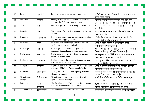| 13. | Jetty          | घाट, जेटी         | Jetties are used to anchor ships and boats         | <b>जेटियों</b> को पोतों और नौकाओं के लंगर डालने के लिए       |
|-----|----------------|-------------------|----------------------------------------------------|--------------------------------------------------------------|
|     |                |                   |                                                    | प्रयोग किया जाता है।                                         |
| 14. | Emission       | उत्सर्जन          | Ships generate emissions of various gases as a     | पोतों को चलाने के लिए इस्तेमाल किए जाने वाले                 |
|     |                |                   | result of the fuel used to power them.             | ईंधनों से पोत कई तरह की गैसों का <b>उत्सर्जन</b> करते हैं।   |
| 15. | dock           | गोदी              | India's largest dry dock is being built at Cochin. | भारत की सबसे बड़ी शुष्क <b>गोदी</b> कोचिन में निर्मित की     |
|     |                |                   |                                                    | जा रही है।                                                   |
| 16. | Draught        | डुबाव             | The draught of a ship depends upon its size and    | जहाज का <b>डुबाव</b> उसके आकार और उसके वज़न पर               |
|     |                |                   | weight                                             | निर्भर करता है।                                              |
| 17. | Dredging       | निकर्षण, ड्रेजिंग | Regular dredging is carried out to maintain the    | शिपिंग चैनलों की गहराई को बनाए रखने के लिए                   |
|     |                |                   | depth of the shipping channel                      | इनकी नियमित <b>डूजिंग</b> की जाती है।                        |
| 18. | Domestic       | घरेलू             | Domestic container cargo carrier vessels are       | भारत के तटीय नौवहन में <b>घरेलू</b> कंटेनर वाहक              |
|     |                |                   | used in Indian coastal navigation.                 | जलयानों का उपयोग होता है।                                    |
| 19. | Bulk cargo     | थोक माल           | Bulk cargo is commodity cargo that is              | <b>थोक कार्गो</b> ऐसे माल का कार्गो है जिसका बड़ी मात्रा में |
|     |                |                   | transported unpackaged in large quantities.        | बिना पैक किए हुए परिवहन किया जाता है।                        |
| 20. | Excise duty    | उत्पादशुल्क       | Excise duty is a type of indirect tax on goods     | उत्पादशुल्क भारत में निर्मित माल पर लागाया जाने              |
|     |                |                   | manufactured in India                              | वाला एक प्रकार का अप्रत्यक्ष कर है।                          |
| 21. | Exchange rate  | विनिमय दर         | Exchange rate is the rate at which one currency    | किसी मुद्रा को किसी अन्य मुद्रा के बदले लेन-देन करने         |
|     |                |                   | will be exchanged for another.                     | की दर को <b>विनिमय दर</b> कहते हैं।                          |
| 22. | Navigation     | नौचालन            | Night navigation facilities are provided on many   | भारत में राष्ट्रीय जलमार्गों के कई जलखंडों पर रात्रि         |
|     |                |                   | stretches of National Waterways in India.          | <b>नौचालन</b> सुविधाएं प्रदान की गई हैं।                     |
| 23. | Evacuate       | खाली करना         | New systems are adopted to speedy evacuation       | पत्तनों से जल्द से जल्द कार्गो <b>खाली करने</b> के लिए नई    |
|     |                |                   | of cargo from ports                                | प्रणालियों को अपनाया जा रहा है।                              |
| 24. | Miscellaneous  | विविध प्रभार      | Miscellaneous charges are levied depending         | कार्गो की प्रकृति के आधार पर <b>विविध प्रभार</b> वसूल        |
|     | charges        |                   | upon the nature of cargo.                          | किए जाते हैं।                                                |
| 25. | Estimate       | अनुमान,           | The Jal Marg Vikas Project being implemented       | 5,369 करोड़ रू. की <b>अनुमानित</b> लागत से जल मार्ग          |
|     |                | प्राक्कलन         | at an estimated cost of Rs. 5,369 crore            | विकास परियोजना कार्यान्वित की जा रही है।                     |
| 26. | Container port | कंटेनर पत्तन      | The Jawaharlal Nehru Port is the largest           | जवाहरलाल नेहरू पत्तन भारत का सबसे बड़ा <b>कंटेनर</b>         |
|     |                |                   |                                                    |                                                              |

3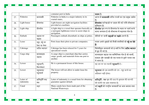|     |                        |                                 | container port in India                                                                                               | पत्तन है।                                                                                                     |
|-----|------------------------|---------------------------------|-----------------------------------------------------------------------------------------------------------------------|---------------------------------------------------------------------------------------------------------------|
| 27. | Fisheries              | मात्स्यकी                       | Fisheries in India is a major industry in its<br>coastal states.                                                      | भारत में <b>मात्सयकी</b> तटीय राज्यों का एक प्रमुख उद्योग<br>है।                                              |
| 28. | Light house            | दीपस्तंभ                        | Light houses are night navigation facilities<br>provided at coastlines.                                               | <b>दीपस्तंभ</b> तटरेखाओं पर प्रदान की गई रात्रि नौचालन<br>सुविधाएं हैं।                                       |
| 29. | Light ship             | दीपपोत                          | A light ship is a vessel that operates basically as<br>a surrogate lighthouse tower to assist ships in<br>navigation. | <b>दीपपोत</b> मूल रूप से दीपस्तंभ के स्थान पर कार्य करने<br>वाला जलयान है जो नौचालन में सहायता पोत है।        |
| 30. | Embark                 | जहाज पर<br>चढ़ना                | Passengers embark-disembark on ships at jetties.                                                                      | जेटियों पर यात्री <b>जहाज़ों पर चढ़ते</b> -उतरते हैं।                                                         |
| 31. | Lease                  | पट्टा, पट्टे पर<br>देना या लेना | Ports lease their plots to private companies.                                                                         | पत्तन अपने भूखंडों को निजी कंपनियों को <b>पट्टे पर देते</b><br>हैं।                                           |
| 32. | Cabotage               | तटीय व्यापार                    | Cabotage has been relaxed for 5 years for<br>specialized vessels                                                      | विशेषीकृत जलयानों को 5 वर्षों के लिए <b>तटीय व्यापार</b><br>में छूट दी गई है।                                 |
| 33. | Cargo ship             | मालवाहक<br>जहाज                 | A cargo ship is a merchant ship that carries<br>cargo, goods, and materials from one port to<br>another.              | मालवाहक जहाज़ एक वाणिज्यिक पोत है जो कार्गो,<br>सामान और सामग्री को एक पत्तन से दूसरे पत्तन तक<br>ले जाता है। |
| 34. | Lessee                 | पट्टाधारी,<br>किरायेदार         | He is a permanent lessee of this house.                                                                               | वह इस घर का स्थायी <b>पट्टाधारी</b> है ।                                                                      |
| 35. | Lessor                 | पट्टादाता/<br>पट्टाकर्ता        | The lessor will not allow to under lease his<br>property.                                                             | पट्टादाता को इस सम्पत्ति को उप - पट्टा करने का<br>अधिकार नहीं होगा।                                           |
| 36. | Letter of<br>indemnity | क्षतिपूर्ति पत्र/<br>बंध        | Letter of indemnity is a usual form for obtaining<br>guarantee against default.                                       | क्षतिपूर्ति - पत्र चूक की दशा में भुगतान की गारन्टी<br>देने वाली एक आम व्यवस्था है।                           |
| 37. | Canal                  | नहर                             | Many canals have been made part of the<br>National Waterways.                                                         | कई <b>नहरों</b> को राष्ट्रीय जलमार्गों का भाग बनाया गया<br>है।                                                |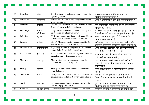| 38. | River bed      | नदी तल                | Depth of the river bed is increased regularly for<br>operating vessels.                         | जलयानों के संचालन के लिए <b>नदीतल</b> की गहराई<br>नियमित रूप से बढ़ाई जाती है।                                              |
|-----|----------------|-----------------------|-------------------------------------------------------------------------------------------------|-----------------------------------------------------------------------------------------------------------------------------|
| 39. | Labour cost    | श्रम लागत             | Labour cost in India is less compared to that in<br>western countries                           | भारत में <b>श्रम लागत</b> पश्चिमी देशों की तुलना में कम है।                                                                 |
| 40. | Peninsula      | प्रायद्वीप            | The area covered from Eastern Ghats to Western<br>Ghats is known as Indian peninsula.           | पूर्वी घाट से लेकर पश्चिमी घाट तक का क्षेत्र भारतीय<br><b>प्रायद्वीप</b> कहा जाता है।                                       |
| 41. | Pilot project  | प्रायोगिक<br>परियोजना | Cargo vessel movement has been taken up as a<br>pilot project on inland waterways.              | अंतर्देशीय जलमार्गों पर <b>प्रायोगिक परियोजना</b> के रूप<br>में कार्गो जलयानों का आवागमन शुरू किया गया है।                  |
| 42. | Pollution      | प्रदूषण               | Various measures have been implemented by the<br>government to prevent maritime pollution.      | सरकार द्वारा समुद्री <b>प्रदूषण</b> की रोकथाम के लिए<br>विभिन्न उपाय किए गए हैं।                                            |
| 43. | Procure        | खरीदना                | The IWAI is planning to procure more Ro-Ro<br>vessels for use on river Brahmaputra.             | आईडब्ल्यूएआई ब्रह्मपुत्र नदी पर चलाने के लिए और<br>अधिक रो-रो जलयान <b>खरीदने</b> की योजना बना रहा है।                      |
| 44. | Protocol route | प्रोटोकोल मार्ग       | Regular operations of cargo vessels are carried<br>out on Indo-Bangladesh protocol route.       | भारत-बांग्लादेश <b>प्रोटोकोल मार्ग</b> पर कार्गो जलयानों<br>का नियमित संचालन किया जाता है।                                  |
| 45. | Raw material   | कच्चा माल             | Raw materials are one of the major commodities<br>being handled by Indian major ports.          | <b>कच्चा माल</b> , भारत के महापत्तनों पर संभलाई की<br>जाने वाली एक प्रमुख सामग्री है।                                       |
| 46. | Manifest       | लदान सूची             | Manifest is a customs document listing the<br>contents put on a ship or plane                   | किसी पोत अथवा हवाई जहाज़ में लादे जाने वाले<br>सामान के सूचीबद्ध सीमाशुल्क दस्तावेज को <b>लदान</b><br><b>सूची</b> कहते हैं। |
| 47. | Storage        | भंडारण                | Storage charges are also included in the cargo<br>related charges.                              | कार्गो संबंधित प्रभारों में <b>भंडारण</b> प्रभार भी शामिल<br>होते हैं।                                                      |
| 48. | Submarine      | पनडुब्बी              | Scorpene Class submarine INS Khanderi is to be<br>commissioned in Indian Navy by September end. | स्कोर्पीन श्रेणी की <b>पनडुब्बी</b> आईएनएस खंडेरी को<br>सितंबर के अंत तक भारतीय नौसेना में शामिल की<br>जाएगी।               |
| 49. | Tariff         | शुल्क, दर             | To import goods from other countries to India<br>one has to pay fixed tariff.                   | दूसरे देशों से भारत में सामान के आयात के लिए<br>निर्धारित शुल्क का भुगतान करना पड़ता है।                                    |
| 50. | Write-off      | बट्टे खाते डालना      | Government has written-off the NPA of many                                                      | सरकार ने कई बैंकों के एनपीए को <b>बट्टे खाते में डाल</b>                                                                    |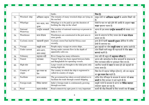|     |                      |                           | banks.                                                                                            | दिया है।                                                                                            |
|-----|----------------------|---------------------------|---------------------------------------------------------------------------------------------------|-----------------------------------------------------------------------------------------------------|
| 51. | Wrecked-ship         | क्षतिग्रस्त जहाज          | The remains of many wrecked-ships are lying on<br>the sea-bed.                                    | समुद्र तलों पर <b>क्षतिग्रस्थ जहाज़ों</b> के अवशेष बिखरे पड़े<br>हैं।                               |
| 52. | Wharfage             | घाट भाड़ा, घाट<br>शुल्क   | Wharfage is to be paid as per the duration of<br>berthing the ship on the wharf.                  | पोतों के घाट पर खड़े होने की अवधि के अनुसार <b>घाट</b><br><b>भाड़ा</b> चुकाना पड़ता है।             |
| 53. | National<br>Waterway | राष्ट्रीय जलमार्ग         | The number of national waterways at present in<br>India is 111.                                   | भारत में इस समय <b>राष्ट्रीय जलमार्गों</b> की संख्या 111<br>है।                                     |
| 54. | Warehouse            | माल गोदाम                 | Warehouses are constructed in the port area to<br>store goods.                                    | माल के भंडारण के लिए पत्तन क्षेत्र में <b>माल गोदाम</b><br>बनाए गए हैं।                             |
| 55. | Cyclonic storm       | चक्रवाती तूफान            | Cyclonic storm Fani had hit Orissa coast<br>recently.                                             | हाल ही में फानी <b>चक्रवाती तूफान</b> ओडिशा के तटीय<br>क्षेत्रों से टकराया था।                      |
| 56. | Voyage               | समुद्री यात्रा            | People enjoy voyage on cruise ships.                                                              | क्रूस जहाज़ों पर लोग <b>समुद्री यात्रा</b> का आनंद उठाते हैं।                                       |
| 57. | Under current        | अंतर-धारा,<br>अंतर-प्रवाह | Strong under currents flow in the depth of<br>apparently calm sea.                                | शांत दिखने वाले समुद्र की गहराइयों में तीव्र <b>अंतर</b><br>धाराएं बहती हैं।                        |
| 58. | Tributary            | सहायक नदी                 | River Ganga has many tributaries.                                                                 | गंगा नदी की बहुत सी <b>सहायक नदियां</b> हैं।                                                        |
| 59. | Transit              | पारगमन                    | Transit Treaty has been signed between India<br>and Bangladesh for operating vessels.             | भारत और बांग्लादेश के बीच जलयानों के संचालन के<br>लिए पारगमन संधि पर हस्ताक्षर किए गए हैं।          |
| 60. | High tide            | ज्वार                     | Large vessels are brought to the tidal ports only<br>during high tide.                            | ज्वारीय पत्तनों में <b>ज्वार</b> के समय ही बड़े जहाज़ों को<br>लाया जाता है।                         |
| 61. | Country of<br>origin | मूल पत्तन का<br>देश       | The country in which the ship is registered is<br>called its country of origin.                   | जिस देश में जहाज़ पंजीकृत होता है, उसे उस जहाज़<br>का <b>मूल पत्तन देश</b> कहते हैं।                |
| 62. | Facilitate           | सरल बनाना                 | The government has taken several initiatives to<br>facilitate the trade through coastal shipping. | तटीय पोत परिवहन के माध्यम से व्यापार को <b>सरल</b><br><b>बनाने</b> के लिए सरकार ने कई पहलें की हैं। |
| 63. | Foreign trade        | विदेश व्यापार             | India's foreign trade is continuously growing<br>through sea route.                               | समुद्री रास्ते के माध्यम से भारत का <b>विदेश व्यापार</b><br>लगातार बढ़ता जा रहा है।                 |
| 64. | Road                 | सड़क संपर्कता             | Road connectivity upto ports is very important                                                    | कार्गो की तीव्र निकासी के लिए पत्तनों तक की <b>सडक</b>                                              |

6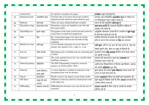|     | connectivity     |               | for speedy evacuation of cargos.                                                      | संपर्कता बहुत महत्वपूर्ण है।                                                 |
|-----|------------------|---------------|---------------------------------------------------------------------------------------|------------------------------------------------------------------------------|
| 65. | Imported goods   | आयातित माल    | Customs duty is levied at fixed rate on those                                         | सरकार द्वारा निर्धारित <b>आयातित माल</b> पर नियत दर                          |
|     |                  |               | imported goods which are prescribed by govt.                                          | पर सीमाशुल्क प्रभार वसूला जाता है।                                           |
| 66. | Harbour          | बंदरगाह       | There are many natural harbours in India.                                             | भारत में कई प्राकृतिक <b>बंदरगाह</b> हैं।                                    |
| 67. | Hazardous cargo  | खतरनाक माल    | Hazardous cargos are handled as per the laid                                          | <b>खतरनाक कार्गो</b> की संभलाई निर्धारित प्रक्रिया के                        |
|     |                  |               | down procedure.                                                                       | अनुसार की जाती है।                                                           |
| 68. | Open/High sea    | खुला समुद्र   | Navigation in the open sea has become easier by                                       | आधुनिक नौचालन उपकरणों के उपयोग से <b>खुले समुद्र</b>                         |
|     |                  |               | using latest navigational equipments.                                                 | में नोचालन सुगम हो गया है।                                                   |
| 69. | Hub              | केंद्र        | By constructing largest dry dock at Cochin                                            | कोचिन शिपयार्ड में सबसे बडे ड्राई डॉक के निर्माण                             |
|     |                  |               | Shipyard India will become the hub of ship<br>repairing.                              | होने से भारत पोत मरम्मत का <b>केंद्र</b> बन जाएगा।                           |
| 70. | Mouth of a river | नदी मुख       | A river mouth is the part of a river where it                                         | नदी मुख, नदी के उस भाग को कहा जाता है, जहां वह                               |
|     |                  |               | merges into another river, a lake or a sea.                                           | किसी दूसरी नदी, झील या समुद्र में मिलती है।                                  |
| 71. | Iron ore         | लौह अयस्क     | Mormugao port is leading iron ore exporting port<br>in India.                         | मुरगांव पत्तन <b>लौह अयस्क</b> निर्यात करने वाला भारत<br>का अग्रणी पत्तन है। |
| 72. | Operator         | प्रचालक       | The crane operator has to be very careful while                                       | कंटेनरों की संभलाई के समय क्रेन <b>प्रचालक</b> को                            |
|     |                  |               | handling containers.                                                                  | सावधान रहना पड़ता है।                                                        |
| 73. | Outward journey  | बहिर्यात्रा   | The INS Vikramaditya started its outward                                              | आईएनएस विक्रमादित्य ने दिनांक 26 दिसंबर, 2018                                |
|     |                  |               | journey on 26 December, 2018.                                                         |                                                                              |
|     |                  |               |                                                                                       | को अपनी <b>बहिर्यात्रा</b> शुरू की।                                          |
| 74. | Itinerary        | यात्रा विवरण, | A cruise ship has to submit its itinerary to the<br>destination port well in advance. | क्रूस जहाज को अपना <b>यात्र<mark>ा</mark> विवरण</b> गंतव्य पत्तन को          |
|     |                  | मार्ग सूची    |                                                                                       | यात्रा से पहले देना होता है।                                                 |
| 75. | Ocean            | महासागर       | Pacific ocean is the largest ocean in the world.                                      | प्रशांत महासागर विश्व का सबसे बड़ा महासागर है।                               |
| 76. | Off shore        | समुद्र की ओर, | Offshore vessels are used for construction work                                       | खुले समुद्र में निर्माण कार्य के लिए <b>अपतट</b> जलयानों का                  |
|     |                  | अपतट          | at the high seas.                                                                     | उपयोग किया जाता है।                                                          |
| 77. | Offloading       | सामान उतारना  | Offloading has become very easy by the use of                                         | <b>सामान उतारने</b> के लिए यंत्रों के उपयोग से काफी                          |
|     |                  |               | machines.                                                                             | सुविधा हुई है।                                                               |
|     |                  |               |                                                                                       |                                                                              |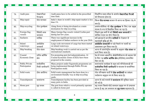| 78. | Audit para                             | लेखापरीक्षा<br>पैराग्राफ   | Audit paras have to be settled in the prescribed<br>time limit.                                                     | निर्धारित समय सीमा के अंतर्गत <b>लेखापरीक्षा पैराओं</b><br>को निपटाना होता है।                                              |
|-----|----------------------------------------|----------------------------|---------------------------------------------------------------------------------------------------------------------|-----------------------------------------------------------------------------------------------------------------------------|
| 79. | Ship repair                            | पोत मरम्मत                 | India's share in world's ship repair market is less<br>than $1\%$ .                                                 | विश्व <b>पोत मरम्मत</b> बाजार में भारत का हिस्सा 1% से<br>कम है।                                                            |
| 80. | Ship recycling                         | पोत पुनर्चक्रण             | Alang Sosia is being developed as a main<br>destination for ship recycling.                                         | अलांग-सोसिया को <b>पोत पुनर्चक्रण</b> के लिए एक प्रमुख<br>गंतव्य के रूप में विकसित किया जा रहा है।                          |
| 81. | Foreign flag<br>vessels                | विदेशी ध्वज<br>जलयान       | Many foreign flag vessels visited Cochin port<br>during last few years.                                             | पिछले कुछ वर्षों में कई <b>विदेशी ध्वज जलयानों</b> ने<br>कोचिन पत्तन का दौरा किया है।                                       |
| 82. | <b>Seafarers</b>                       | नाविक                      | There was significant increase in the<br>employment of Indian seafarers in the year 2018.                           | वर्ष 2018 में भारतीय <b>नाविकों</b> के रोज़गार में<br>महत्वपूर्ण वृद्धि हुई थी।                                             |
| 83. | Inland<br>waterways                    | अंतर्देशीय<br>जलमार्ग      | Large scale movement of cargo has been started<br>on inland waterways.                                              | <mark>अंतर्देशीय जलमार्गों</mark> पर बड़े पैमाने पर कार्गो का<br>आवागमन शुरू किया गया है।                                   |
| 84. | Ship breaking                          | पोत भंजन                   | Ship breaking work is carried out as per the<br>international standards.                                            | भारत में अंतर्राष्ट्रीय मानकों के अनुसार <b>पोत भंजन</b> का<br>कार्य किया जाता है।                                          |
| 85. | Coastal<br>Economic Zone               | तटीय आर्थिक<br>क्षेत्र     | For promoting port-led industrialization, 14<br>Coastal Economic Zones (CEZs) have been<br>proposed in the country. | देश में पत्तन आधारित औद्योगिकीकरण को बढ़ावा देने<br>के लिए 14 <b>तटीय आर्थिक क्षेत्र</b> (सीईजेड) प्रस्तावित<br>किए गए हैं। |
| 86. | <b>Public Private</b><br>Participation | सार्वजनिक<br>निजी भागीदारी | Many projects under Sagarmala programme are<br>being implemented through Public Private<br>Participation mode.      | सागरमाला कार्यक्रम के तहत कई परियोजनाओं को<br>सार्वजनिक निजी भागीदारी के माध्यम से कार्यान्वित<br>किया जा रहा है।           |
| 87. | Solid waste                            | ठोस अपशिष्ट                | Solid waste management has been done in a<br>environment friendly way at ship recycling<br>vards.                   | पोत परिचक्रण यार्डों में <b>ठोस अपशिष्टों</b> का प्रबंधन<br>पर्यावरण अनुकूल रूप से किया जाता है।                            |
| 88. | Transshipment                          | यानांतरण                   | Transshipment facility has been provided at<br>many ports in India.                                                 | भारत के कई पत्तनों में <b>यानांतरण</b> की सुविधा प्रदान<br>की गई है।                                                        |
| 89. | Home port                              | गृह पत्तन                  | The port from which a vessel primarily operates<br>is called its home port                                          | वह पत्तन जिससे कोई जलयान प्रमुख रूप से प्रचालन<br>करता है वह उस जलयान का <b>गृह पत्तन</b> कहलाता है।                        |

8